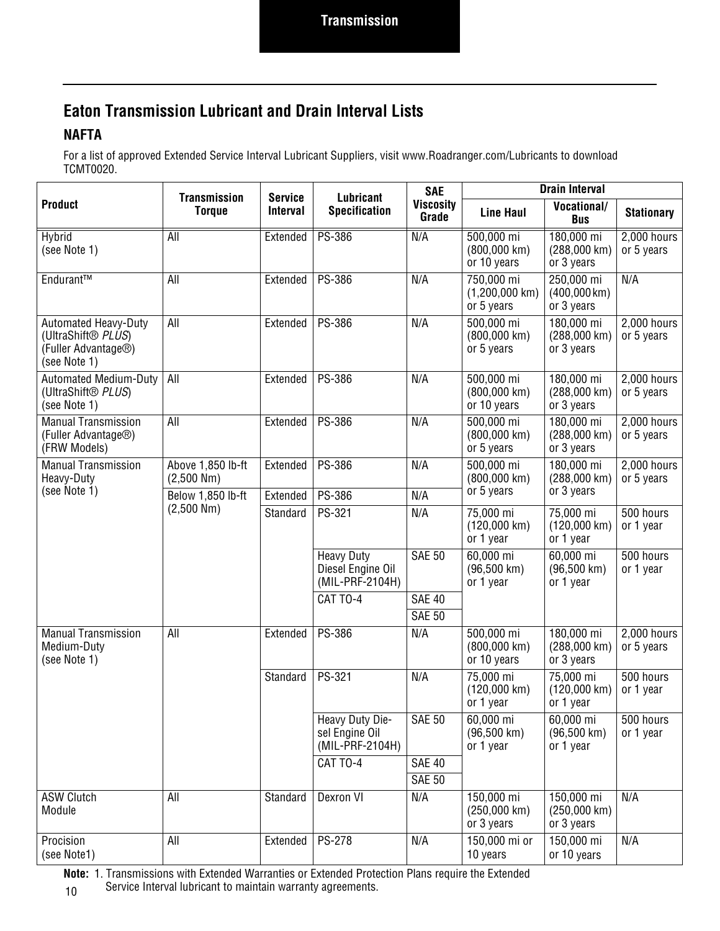### **Eaton Transmission Lubricant and Drain Interval Lists**

#### **NAFTA**

For a list of approved Extended Service Interval Lubricant Suppliers, visit www.Roadranger.com/Lubricants to download TCMT0020.

|                                                                                                       | <b>Transmission</b>                                      | <b>Service</b> | Lubricant                                                 | <b>SAE</b>       | <b>Drain Interval</b>                               |                                                       |                             |  |  |  |
|-------------------------------------------------------------------------------------------------------|----------------------------------------------------------|----------------|-----------------------------------------------------------|------------------|-----------------------------------------------------|-------------------------------------------------------|-----------------------------|--|--|--|
| <b>Product</b>                                                                                        | <b>Specification</b><br><b>Torque</b><br><b>Interval</b> |                | <b>Viscosity</b><br>Grade                                 | <b>Line Haul</b> | <b>Vocational/</b><br><b>Bus</b>                    | <b>Stationary</b>                                     |                             |  |  |  |
| <b>Hybrid</b><br>(see Note 1)                                                                         | All                                                      | Extended       | <b>PS-386</b>                                             | N/A              | 500,000 mi<br>$(800,000 \text{ km})$<br>or 10 years | 180,000 mi<br>$(288,000 \text{ km})$<br>or 3 years    | 2,000 hours<br>or 5 years   |  |  |  |
| Endurant™                                                                                             | All                                                      | Extended       | PS-386                                                    | N/A              | 750,000 mi<br>$(1,200,000$ km)<br>or 5 years        | 250,000 mi<br>$(400,000 \,\mathrm{km})$<br>or 3 years | N/A                         |  |  |  |
| <b>Automated Heavy-Duty</b><br>(UltraShift® PLUS)<br>(Fuller Advantage <sup>®</sup> )<br>(see Note 1) | All                                                      | Extended       | PS-386                                                    | N/A              | 500,000 mi<br>$(800,000 \text{ km})$<br>or 5 years  | 180,000 mi<br>$(288,000 \text{ km})$<br>or 3 years    | 2,000 hours<br>or 5 years   |  |  |  |
| <b>Automated Medium-Duty</b><br>(UltraShift <sup>®</sup> PLUS)<br>(see Note 1)                        | All                                                      | Extended       | PS-386                                                    | N/A              | 500,000 mi<br>$(800,000 \text{ km})$<br>or 10 years | 180,000 mi<br>(288,000 km)<br>or 3 years              | 2,000 hours<br>or 5 years   |  |  |  |
| <b>Manual Transmission</b><br>(Fuller Advantage <sup>®</sup> )<br>(FRW Models)                        | $\overline{All}$                                         | Extended       | PS-386                                                    | N/A              | 500,000 mi<br>$(800,000 \text{ km})$<br>or 5 years  | 180,000 mi<br>(288,000 km)<br>or 3 years              | $2,000$ hours<br>or 5 years |  |  |  |
| <b>Manual Transmission</b><br>Heavy-Duty                                                              | Above 1,850 lb-ft<br>$(2,500$ Nm $)$                     | Extended       | PS-386                                                    | N/A              | 500,000 mi<br>$(800,000 \text{ km})$                | 180,000 mi<br>$(288,000 \text{ km})$                  | 2,000 hours<br>or 5 years   |  |  |  |
| (see Note 1)                                                                                          | Below 1,850 lb-ft<br>$(2,500$ Nm $)$                     | Extended       | PS-386                                                    | N/A              | or 5 years                                          | or 3 years                                            |                             |  |  |  |
|                                                                                                       |                                                          | Standard       | PS-321                                                    | N/A              | 75,000 mi<br>$(120,000 \text{ km})$<br>or 1 year    | 75,000 mi<br>$(120,000 \text{ km})$<br>or 1 year      | 500 hours<br>or 1 year      |  |  |  |
|                                                                                                       |                                                          |                | <b>Heavy Duty</b><br>Diesel Engine Oil<br>(MIL-PRF-2104H) |                  | 60,000 mi<br>$(96,500 \text{ km})$<br>or 1 year     | 60,000 mi<br>$(96,500 \text{ km})$<br>or 1 year       | 500 hours<br>or 1 year      |  |  |  |
|                                                                                                       |                                                          |                | CAT TO-4                                                  | <b>SAE 40</b>    |                                                     |                                                       |                             |  |  |  |
|                                                                                                       |                                                          |                |                                                           | <b>SAE 50</b>    |                                                     |                                                       |                             |  |  |  |
| <b>Manual Transmission</b><br>Medium-Duty<br>(see Note 1)                                             | All                                                      | Extended       | PS-386                                                    | N/A              | 500,000 mi<br>(800,000 km)<br>or 10 years           | 180,000 mi<br>(288,000 km)<br>or 3 years              | 2,000 hours<br>or 5 years   |  |  |  |
|                                                                                                       |                                                          | Standard       | PS-321                                                    | N/A              | 75,000 mi<br>$(120,000 \text{ km})$<br>or 1 year    | 75,000 mi<br>$(120,000 \text{ km})$<br>or 1 year      | 500 hours<br>or 1 year      |  |  |  |
|                                                                                                       |                                                          |                | Heavy Duty Die-<br>sel Engine Oil<br>(MIL-PRF-2104H)      | <b>SAE 50</b>    | 60,000 mi<br>$(96,500 \text{ km})$<br>or 1 year     | 60,000 mi<br>$(96,500 \text{ km})$<br>or 1 year       | 500 hours<br>or 1 year      |  |  |  |
|                                                                                                       |                                                          |                | CAT TO-4                                                  | <b>SAE 40</b>    |                                                     |                                                       |                             |  |  |  |
|                                                                                                       |                                                          |                |                                                           | <b>SAE 50</b>    |                                                     |                                                       |                             |  |  |  |
| <b>ASW Clutch</b><br>Module                                                                           | All                                                      | Standard       | Dexron VI                                                 | N/A              | 150,000 mi<br>$(250,000 \text{ km})$<br>or 3 years  | 150,000 mi<br>$(250,000 \text{ km})$<br>or 3 years    | N/A                         |  |  |  |
| Procision<br>(see Note1)                                                                              | All                                                      | Extended       | PS-278                                                    | N/A              | 150,000 mi or<br>10 years                           | 150,000 mi<br>or 10 years                             | N/A                         |  |  |  |

10 **Note:** 1. Transmissions with Extended Warranties or Extended Protection Plans require the Extended Service Interval lubricant to maintain warranty agreements.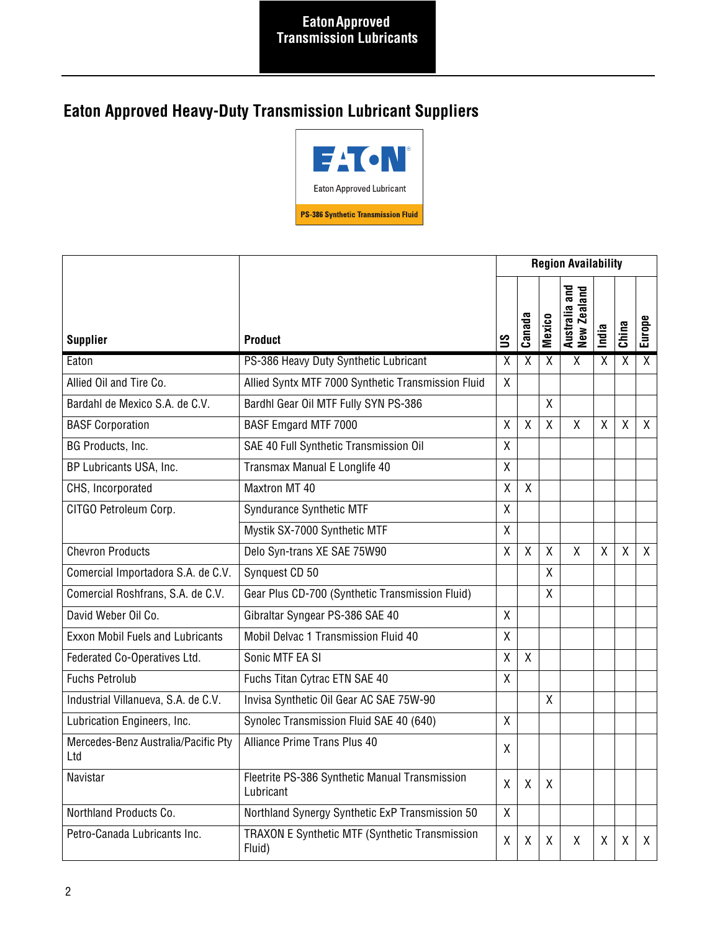# **Eaton Approved Heavy-Duty Transmission Lubricant Suppliers**



|                                            |                                                             |                | <b>Region Availability</b> |                   |                              |       |              |                |
|--------------------------------------------|-------------------------------------------------------------|----------------|----------------------------|-------------------|------------------------------|-------|--------------|----------------|
| <b>Supplier</b><br><b>Product</b>          |                                                             |                | Canada                     | <b>Mexico</b>     | Australia and<br>New Zealand | India | China        | Europe         |
| Eaton                                      | PS-386 Heavy Duty Synthetic Lubricant                       | X              | $\overline{\chi}$          | $\overline{\chi}$ | $\overline{\mathsf{x}}$      | X     | X            | $\overline{X}$ |
| Allied Oil and Tire Co.                    | Allied Syntx MTF 7000 Synthetic Transmission Fluid          | $\mathsf{X}$   |                            |                   |                              |       |              |                |
| Bardahl de Mexico S.A. de C.V.             | Bardhl Gear Oil MTF Fully SYN PS-386                        |                |                            | Χ                 |                              |       |              |                |
| <b>BASF Corporation</b>                    | BASF Emgard MTF 7000                                        |                | $\mathsf{X}$               | $\mathsf{X}$      | $\mathsf{X}$                 | X     | $\mathsf{X}$ | $\mathsf{X}$   |
| BG Products, Inc.                          | SAE 40 Full Synthetic Transmission Oil                      | X              |                            |                   |                              |       |              |                |
| BP Lubricants USA, Inc.                    | Transmax Manual E Longlife 40                               | Χ              |                            |                   |                              |       |              |                |
| CHS, Incorporated                          | <b>Maxtron MT 40</b>                                        | X              | $\mathsf{X}$               |                   |                              |       |              |                |
| CITGO Petroleum Corp.                      | Syndurance Synthetic MTF                                    | X              |                            |                   |                              |       |              |                |
|                                            | Mystik SX-7000 Synthetic MTF                                | Χ              |                            |                   |                              |       |              |                |
| <b>Chevron Products</b>                    | Delo Syn-trans XE SAE 75W90                                 | X              | $\mathsf{X}$               | $\sf X$           | $\mathsf{X}$                 | X     | $\sf X$      | $\mathsf{X}$   |
| Comercial Importadora S.A. de C.V.         | Synquest CD 50                                              |                |                            | χ                 |                              |       |              |                |
| Comercial Roshfrans, S.A. de C.V.          | Gear Plus CD-700 (Synthetic Transmission Fluid)             |                |                            | X                 |                              |       |              |                |
| David Weber Oil Co.                        | Gibraltar Syngear PS-386 SAE 40                             | χ              |                            |                   |                              |       |              |                |
| <b>Exxon Mobil Fuels and Lubricants</b>    | Mobil Delvac 1 Transmission Fluid 40                        | X              |                            |                   |                              |       |              |                |
| Federated Co-Operatives Ltd.               | Sonic MTF EA SI                                             | X              | $\mathsf{X}$               |                   |                              |       |              |                |
| <b>Fuchs Petrolub</b>                      | Fuchs Titan Cytrac ETN SAE 40                               | X              |                            |                   |                              |       |              |                |
| Industrial Villanueva, S.A. de C.V.        | Invisa Synthetic Oil Gear AC SAE 75W-90                     |                |                            | $\sf X$           |                              |       |              |                |
| Lubrication Engineers, Inc.                | Synolec Transmission Fluid SAE 40 (640)                     | $\overline{X}$ |                            |                   |                              |       |              |                |
| Mercedes-Benz Australia/Pacific Pty<br>Ltd | Alliance Prime Trans Plus 40                                | X              |                            |                   |                              |       |              |                |
| Navistar                                   | Fleetrite PS-386 Synthetic Manual Transmission<br>Lubricant | X              | X                          | X                 |                              |       |              |                |
| Northland Products Co.                     | Northland Synergy Synthetic ExP Transmission 50             | X              |                            |                   |                              |       |              |                |
| Petro-Canada Lubricants Inc.               | TRAXON E Synthetic MTF (Synthetic Transmission<br>Fluid)    | X              | X                          | X                 | X                            | X     | X            | $\mathsf{X}$   |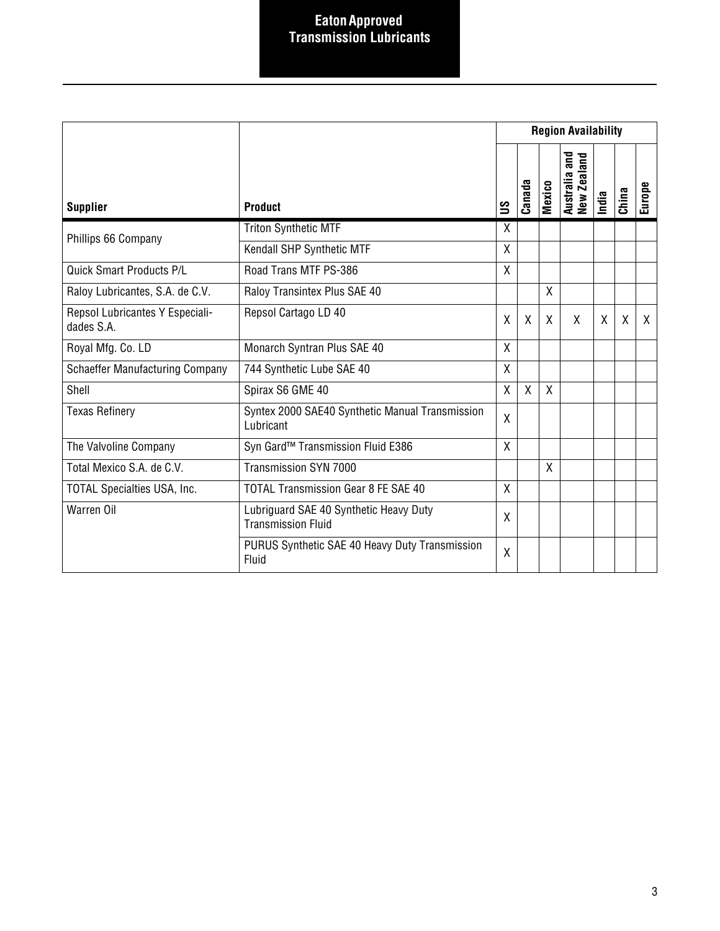#### **Eaton Approved Transmission Lubricants**

|                                               |                                                                     | <b>Region Availability</b> |                           |               |                                        |       |         |        |
|-----------------------------------------------|---------------------------------------------------------------------|----------------------------|---------------------------|---------------|----------------------------------------|-------|---------|--------|
| <b>Supplier</b>                               | <b>Product</b>                                                      | ട്ട                        | Canada                    | <b>Mexico</b> | and<br>and<br>Australia a<br>New Zeala | India | China   | Europe |
| Phillips 66 Company                           | <b>Triton Synthetic MTF</b>                                         | X                          |                           |               |                                        |       |         |        |
|                                               | Kendall SHP Synthetic MTF                                           | X                          |                           |               |                                        |       |         |        |
| <b>Quick Smart Products P/L</b>               | Road Trans MTF PS-386                                               | X                          |                           |               |                                        |       |         |        |
| Raloy Lubricantes, S.A. de C.V.               | Raloy Transintex Plus SAE 40                                        |                            |                           | X             |                                        |       |         |        |
| Repsol Lubricantes Y Especiali-<br>dades S.A. | Repsol Cartago LD 40                                                | X                          | $\boldsymbol{\mathsf{X}}$ | $\mathsf{X}$  | X                                      | X     | $\sf X$ | X      |
| Royal Mfg. Co. LD                             | Monarch Syntran Plus SAE 40                                         | X                          |                           |               |                                        |       |         |        |
| <b>Schaeffer Manufacturing Company</b>        | 744 Synthetic Lube SAE 40                                           | X                          |                           |               |                                        |       |         |        |
| Shell                                         | Spirax S6 GME 40                                                    | X                          | $\sf X$                   | $\mathsf{X}$  |                                        |       |         |        |
| <b>Texas Refinery</b>                         | Syntex 2000 SAE40 Synthetic Manual Transmission<br>Lubricant        | $\mathsf{X}$               |                           |               |                                        |       |         |        |
| The Valvoline Company                         | Syn Gard™ Transmission Fluid E386                                   | X                          |                           |               |                                        |       |         |        |
| Total Mexico S.A. de C.V.                     | Transmission SYN 7000                                               |                            |                           | X             |                                        |       |         |        |
| <b>TOTAL Specialties USA, Inc.</b>            | <b>TOTAL Transmission Gear 8 FE SAE 40</b>                          | $\mathsf{X}$               |                           |               |                                        |       |         |        |
| Warren Oil                                    | Lubriguard SAE 40 Synthetic Heavy Duty<br><b>Transmission Fluid</b> | X                          |                           |               |                                        |       |         |        |
|                                               | PURUS Synthetic SAE 40 Heavy Duty Transmission<br>Fluid             | $\sf X$                    |                           |               |                                        |       |         |        |